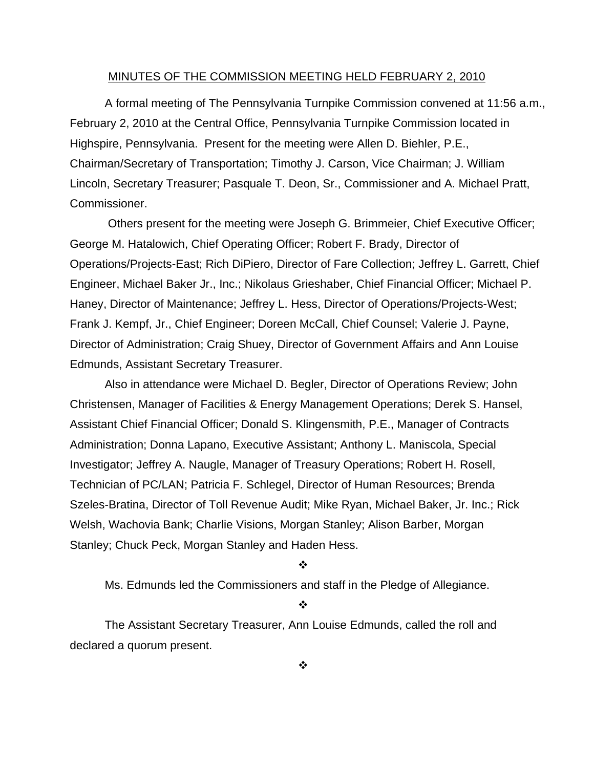#### MINUTES OF THE COMMISSION MEETING HELD FEBRUARY 2, 2010

 A formal meeting of The Pennsylvania Turnpike Commission convened at 11:56 a.m., February 2, 2010 at the Central Office, Pennsylvania Turnpike Commission located in Highspire, Pennsylvania. Present for the meeting were Allen D. Biehler, P.E., Chairman/Secretary of Transportation; Timothy J. Carson, Vice Chairman; J. William Lincoln, Secretary Treasurer; Pasquale T. Deon, Sr., Commissioner and A. Michael Pratt, Commissioner.

 Others present for the meeting were Joseph G. Brimmeier, Chief Executive Officer; George M. Hatalowich, Chief Operating Officer; Robert F. Brady, Director of Operations/Projects-East; Rich DiPiero, Director of Fare Collection; Jeffrey L. Garrett, Chief Engineer, Michael Baker Jr., Inc.; Nikolaus Grieshaber, Chief Financial Officer; Michael P. Haney, Director of Maintenance; Jeffrey L. Hess, Director of Operations/Projects-West; Frank J. Kempf, Jr., Chief Engineer; Doreen McCall, Chief Counsel; Valerie J. Payne, Director of Administration; Craig Shuey, Director of Government Affairs and Ann Louise Edmunds, Assistant Secretary Treasurer.

Also in attendance were Michael D. Begler, Director of Operations Review; John Christensen, Manager of Facilities & Energy Management Operations; Derek S. Hansel, Assistant Chief Financial Officer; Donald S. Klingensmith, P.E., Manager of Contracts Administration; Donna Lapano, Executive Assistant; Anthony L. Maniscola, Special Investigator; Jeffrey A. Naugle, Manager of Treasury Operations; Robert H. Rosell, Technician of PC/LAN; Patricia F. Schlegel, Director of Human Resources; Brenda Szeles-Bratina, Director of Toll Revenue Audit; Mike Ryan, Michael Baker, Jr. Inc.; Rick Welsh, Wachovia Bank; Charlie Visions, Morgan Stanley; Alison Barber, Morgan Stanley; Chuck Peck, Morgan Stanley and Haden Hess.

#### $\mathbf{r}$

Ms. Edmunds led the Commissioners and staff in the Pledge of Allegiance.

#### $\frac{1}{2}$

The Assistant Secretary Treasurer, Ann Louise Edmunds, called the roll and declared a quorum present.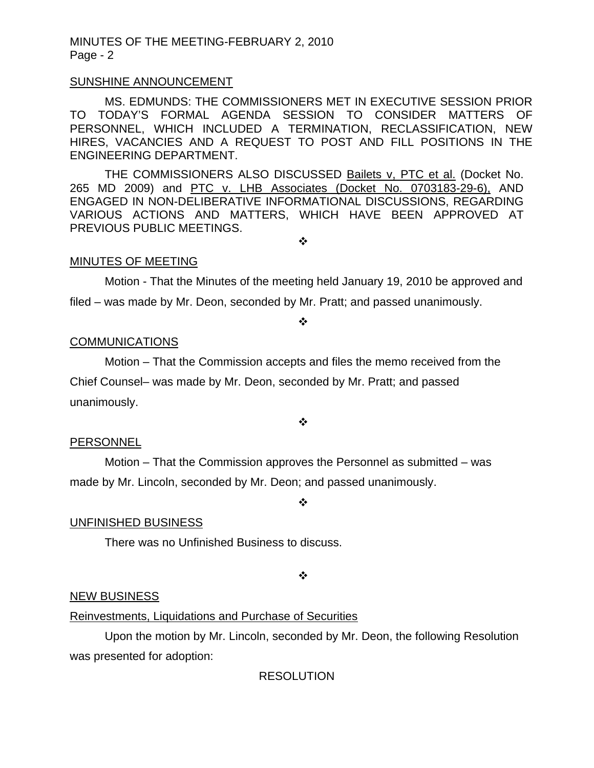### SUNSHINE ANNOUNCEMENT

MS. EDMUNDS: THE COMMISSIONERS MET IN EXECUTIVE SESSION PRIOR TO TODAY'S FORMAL AGENDA SESSION TO CONSIDER MATTERS OF PERSONNEL, WHICH INCLUDED A TERMINATION, RECLASSIFICATION, NEW HIRES, VACANCIES AND A REQUEST TO POST AND FILL POSITIONS IN THE ENGINEERING DEPARTMENT.

THE COMMISSIONERS ALSO DISCUSSED Bailets v, PTC et al. (Docket No. 265 MD 2009) and PTC v. LHB Associates (Docket No. 0703183-29-6), AND ENGAGED IN NON-DELIBERATIVE INFORMATIONAL DISCUSSIONS, REGARDING VARIOUS ACTIONS AND MATTERS, WHICH HAVE BEEN APPROVED AT PREVIOUS PUBLIC MEETINGS.

❖

### MINUTES OF MEETING

Motion - That the Minutes of the meeting held January 19, 2010 be approved and filed – was made by Mr. Deon, seconded by Mr. Pratt; and passed unanimously.

❖

### **COMMUNICATIONS**

Motion – That the Commission accepts and files the memo received from the

Chief Counsel– was made by Mr. Deon, seconded by Mr. Pratt; and passed unanimously.

❖

### **PERSONNEL**

 Motion – That the Commission approves the Personnel as submitted – was made by Mr. Lincoln, seconded by Mr. Deon; and passed unanimously.

#### ❖

### UNFINISHED BUSINESS

There was no Unfinished Business to discuss.

❖

### NEW BUSINESS

### Reinvestments, Liquidations and Purchase of Securities

 Upon the motion by Mr. Lincoln, seconded by Mr. Deon, the following Resolution was presented for adoption:

RESOLUTION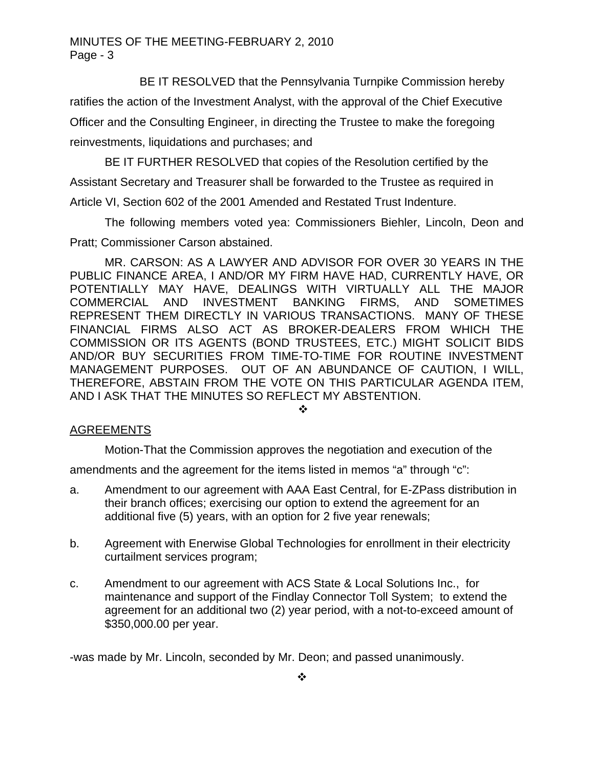BE IT RESOLVED that the Pennsylvania Turnpike Commission hereby

ratifies the action of the Investment Analyst, with the approval of the Chief Executive Officer and the Consulting Engineer, in directing the Trustee to make the foregoing reinvestments, liquidations and purchases; and

 BE IT FURTHER RESOLVED that copies of the Resolution certified by the Assistant Secretary and Treasurer shall be forwarded to the Trustee as required in Article VI, Section 602 of the 2001 Amended and Restated Trust Indenture.

The following members voted yea: Commissioners Biehler, Lincoln, Deon and Pratt; Commissioner Carson abstained.

MR. CARSON: AS A LAWYER AND ADVISOR FOR OVER 30 YEARS IN THE PUBLIC FINANCE AREA, I AND/OR MY FIRM HAVE HAD, CURRENTLY HAVE, OR POTENTIALLY MAY HAVE, DEALINGS WITH VIRTUALLY ALL THE MAJOR COMMERCIAL AND INVESTMENT BANKING FIRMS, AND SOMETIMES REPRESENT THEM DIRECTLY IN VARIOUS TRANSACTIONS. MANY OF THESE FINANCIAL FIRMS ALSO ACT AS BROKER-DEALERS FROM WHICH THE COMMISSION OR ITS AGENTS (BOND TRUSTEES, ETC.) MIGHT SOLICIT BIDS AND/OR BUY SECURITIES FROM TIME-TO-TIME FOR ROUTINE INVESTMENT MANAGEMENT PURPOSES. OUT OF AN ABUNDANCE OF CAUTION, I WILL, THEREFORE, ABSTAIN FROM THE VOTE ON THIS PARTICULAR AGENDA ITEM, AND I ASK THAT THE MINUTES SO REFLECT MY ABSTENTION.

 $\cdot \cdot$ 

## AGREEMENTS

Motion-That the Commission approves the negotiation and execution of the

amendments and the agreement for the items listed in memos "a" through "c":

- a. Amendment to our agreement with AAA East Central, for E-ZPass distribution in their branch offices; exercising our option to extend the agreement for an additional five (5) years, with an option for 2 five year renewals;
- b. Agreement with Enerwise Global Technologies for enrollment in their electricity curtailment services program;
- c. Amendment to our agreement with ACS State & Local Solutions Inc., for maintenance and support of the Findlay Connector Toll System; to extend the agreement for an additional two (2) year period, with a not-to-exceed amount of \$350,000.00 per year.

-was made by Mr. Lincoln, seconded by Mr. Deon; and passed unanimously.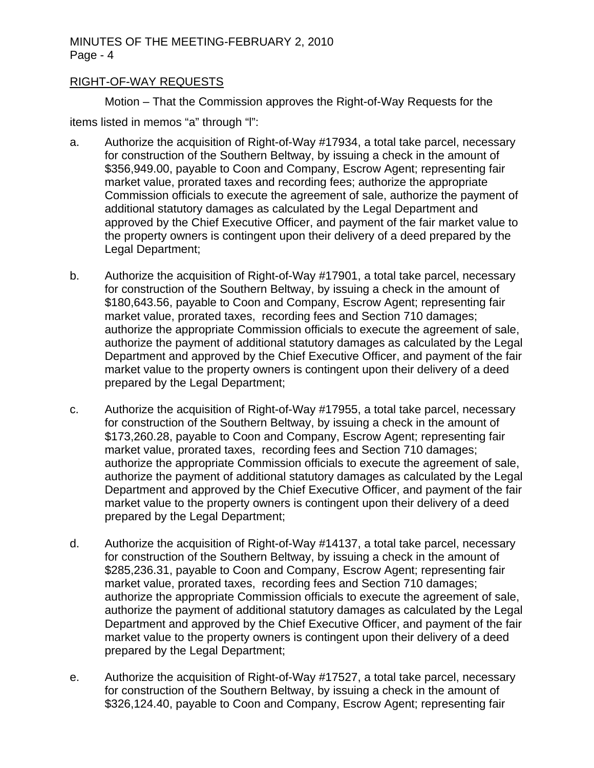## RIGHT-OF-WAY REQUESTS

 Motion – That the Commission approves the Right-of-Way Requests for the items listed in memos "a" through "l":

- a. Authorize the acquisition of Right-of-Way #17934, a total take parcel, necessary for construction of the Southern Beltway, by issuing a check in the amount of \$356,949.00, payable to Coon and Company, Escrow Agent; representing fair market value, prorated taxes and recording fees; authorize the appropriate Commission officials to execute the agreement of sale, authorize the payment of additional statutory damages as calculated by the Legal Department and approved by the Chief Executive Officer, and payment of the fair market value to the property owners is contingent upon their delivery of a deed prepared by the Legal Department;
- b. Authorize the acquisition of Right-of-Way #17901, a total take parcel, necessary for construction of the Southern Beltway, by issuing a check in the amount of \$180,643.56, payable to Coon and Company, Escrow Agent; representing fair market value, prorated taxes, recording fees and Section 710 damages; authorize the appropriate Commission officials to execute the agreement of sale, authorize the payment of additional statutory damages as calculated by the Legal Department and approved by the Chief Executive Officer, and payment of the fair market value to the property owners is contingent upon their delivery of a deed prepared by the Legal Department;
- c. Authorize the acquisition of Right-of-Way #17955, a total take parcel, necessary for construction of the Southern Beltway, by issuing a check in the amount of \$173,260.28, payable to Coon and Company, Escrow Agent; representing fair market value, prorated taxes, recording fees and Section 710 damages; authorize the appropriate Commission officials to execute the agreement of sale, authorize the payment of additional statutory damages as calculated by the Legal Department and approved by the Chief Executive Officer, and payment of the fair market value to the property owners is contingent upon their delivery of a deed prepared by the Legal Department;
- d. Authorize the acquisition of Right-of-Way #14137, a total take parcel, necessary for construction of the Southern Beltway, by issuing a check in the amount of \$285,236.31, payable to Coon and Company, Escrow Agent; representing fair market value, prorated taxes, recording fees and Section 710 damages; authorize the appropriate Commission officials to execute the agreement of sale, authorize the payment of additional statutory damages as calculated by the Legal Department and approved by the Chief Executive Officer, and payment of the fair market value to the property owners is contingent upon their delivery of a deed prepared by the Legal Department;
- e. Authorize the acquisition of Right-of-Way #17527, a total take parcel, necessary for construction of the Southern Beltway, by issuing a check in the amount of \$326,124.40, payable to Coon and Company, Escrow Agent; representing fair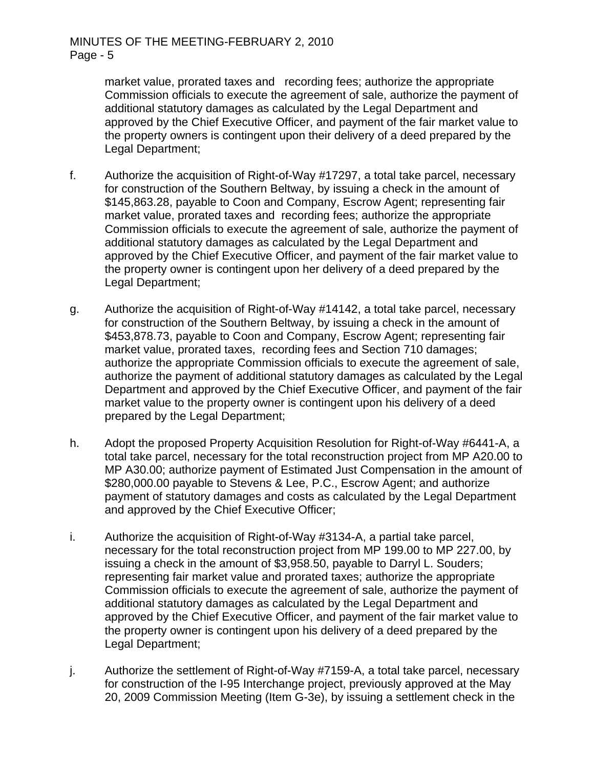market value, prorated taxes and recording fees; authorize the appropriate Commission officials to execute the agreement of sale, authorize the payment of additional statutory damages as calculated by the Legal Department and approved by the Chief Executive Officer, and payment of the fair market value to the property owners is contingent upon their delivery of a deed prepared by the Legal Department;

- f. Authorize the acquisition of Right-of-Way #17297, a total take parcel, necessary for construction of the Southern Beltway, by issuing a check in the amount of \$145,863.28, payable to Coon and Company, Escrow Agent; representing fair market value, prorated taxes and recording fees; authorize the appropriate Commission officials to execute the agreement of sale, authorize the payment of additional statutory damages as calculated by the Legal Department and approved by the Chief Executive Officer, and payment of the fair market value to the property owner is contingent upon her delivery of a deed prepared by the Legal Department;
- g. Authorize the acquisition of Right-of-Way #14142, a total take parcel, necessary for construction of the Southern Beltway, by issuing a check in the amount of \$453,878.73, payable to Coon and Company, Escrow Agent; representing fair market value, prorated taxes, recording fees and Section 710 damages; authorize the appropriate Commission officials to execute the agreement of sale, authorize the payment of additional statutory damages as calculated by the Legal Department and approved by the Chief Executive Officer, and payment of the fair market value to the property owner is contingent upon his delivery of a deed prepared by the Legal Department;
- h. Adopt the proposed Property Acquisition Resolution for Right-of-Way #6441-A, a total take parcel, necessary for the total reconstruction project from MP A20.00 to MP A30.00; authorize payment of Estimated Just Compensation in the amount of \$280,000.00 payable to Stevens & Lee, P.C., Escrow Agent; and authorize payment of statutory damages and costs as calculated by the Legal Department and approved by the Chief Executive Officer;
- i. Authorize the acquisition of Right-of-Way #3134-A, a partial take parcel, necessary for the total reconstruction project from MP 199.00 to MP 227.00, by issuing a check in the amount of \$3,958.50, payable to Darryl L. Souders; representing fair market value and prorated taxes; authorize the appropriate Commission officials to execute the agreement of sale, authorize the payment of additional statutory damages as calculated by the Legal Department and approved by the Chief Executive Officer, and payment of the fair market value to the property owner is contingent upon his delivery of a deed prepared by the Legal Department;
- j. Authorize the settlement of Right-of-Way #7159-A, a total take parcel, necessary for construction of the I-95 Interchange project, previously approved at the May 20, 2009 Commission Meeting (Item G-3e), by issuing a settlement check in the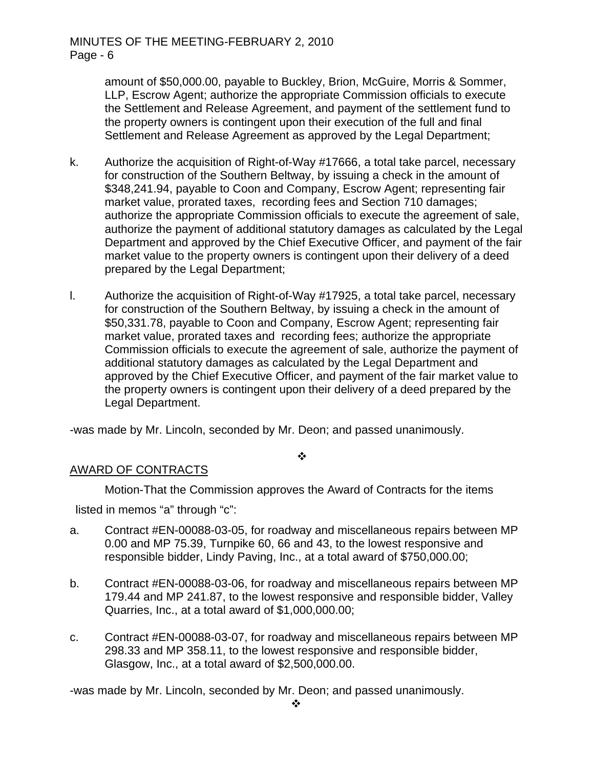amount of \$50,000.00, payable to Buckley, Brion, McGuire, Morris & Sommer, LLP, Escrow Agent; authorize the appropriate Commission officials to execute the Settlement and Release Agreement, and payment of the settlement fund to the property owners is contingent upon their execution of the full and final Settlement and Release Agreement as approved by the Legal Department;

- k. Authorize the acquisition of Right-of-Way #17666, a total take parcel, necessary for construction of the Southern Beltway, by issuing a check in the amount of \$348,241.94, payable to Coon and Company, Escrow Agent; representing fair market value, prorated taxes, recording fees and Section 710 damages; authorize the appropriate Commission officials to execute the agreement of sale, authorize the payment of additional statutory damages as calculated by the Legal Department and approved by the Chief Executive Officer, and payment of the fair market value to the property owners is contingent upon their delivery of a deed prepared by the Legal Department;
- l. Authorize the acquisition of Right-of-Way #17925, a total take parcel, necessary for construction of the Southern Beltway, by issuing a check in the amount of \$50,331.78, payable to Coon and Company, Escrow Agent; representing fair market value, prorated taxes and recording fees; authorize the appropriate Commission officials to execute the agreement of sale, authorize the payment of additional statutory damages as calculated by the Legal Department and approved by the Chief Executive Officer, and payment of the fair market value to the property owners is contingent upon their delivery of a deed prepared by the Legal Department.

-was made by Mr. Lincoln, seconded by Mr. Deon; and passed unanimously.

 $\cdot$ 

# AWARD OF CONTRACTS

Motion-That the Commission approves the Award of Contracts for the items

listed in memos "a" through "c":

- a. Contract #EN-00088-03-05, for roadway and miscellaneous repairs between MP 0.00 and MP 75.39, Turnpike 60, 66 and 43, to the lowest responsive and responsible bidder, Lindy Paving, Inc., at a total award of \$750,000.00;
- b. Contract #EN-00088-03-06, for roadway and miscellaneous repairs between MP 179.44 and MP 241.87, to the lowest responsive and responsible bidder, Valley Quarries, Inc., at a total award of \$1,000,000.00;
- c. Contract #EN-00088-03-07, for roadway and miscellaneous repairs between MP 298.33 and MP 358.11, to the lowest responsive and responsible bidder, Glasgow, Inc., at a total award of \$2,500,000.00.

-was made by Mr. Lincoln, seconded by Mr. Deon; and passed unanimously.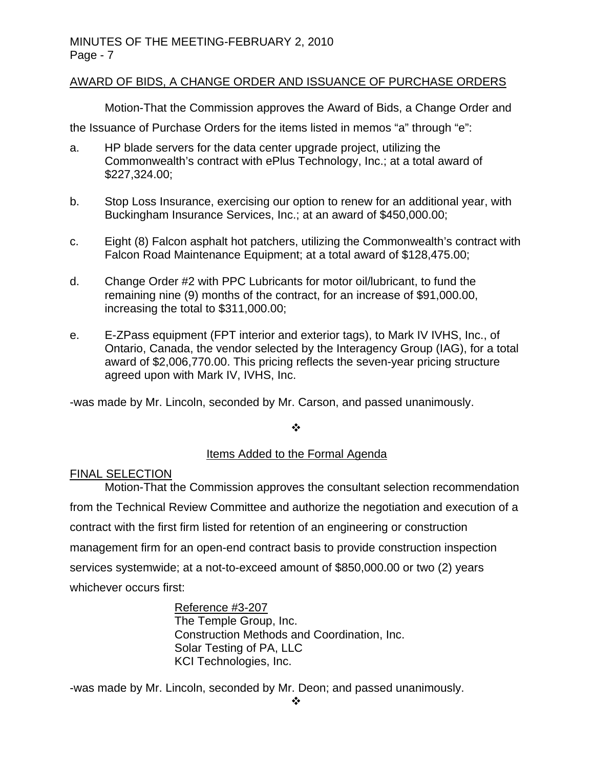# AWARD OF BIDS, A CHANGE ORDER AND ISSUANCE OF PURCHASE ORDERS

Motion-That the Commission approves the Award of Bids, a Change Order and

the Issuance of Purchase Orders for the items listed in memos "a" through "e":

- a. HP blade servers for the data center upgrade project, utilizing the Commonwealth's contract with ePlus Technology, Inc.; at a total award of \$227,324.00;
- b. Stop Loss Insurance, exercising our option to renew for an additional year, with Buckingham Insurance Services, Inc.; at an award of \$450,000.00;
- c. Eight (8) Falcon asphalt hot patchers, utilizing the Commonwealth's contract with Falcon Road Maintenance Equipment; at a total award of \$128,475.00;
- d. Change Order #2 with PPC Lubricants for motor oil/lubricant, to fund the remaining nine (9) months of the contract, for an increase of \$91,000.00, increasing the total to \$311,000.00;
- e. E-ZPass equipment (FPT interior and exterior tags), to Mark IV IVHS, Inc., of Ontario, Canada, the vendor selected by the Interagency Group (IAG), for a total award of \$2,006,770.00. This pricing reflects the seven-year pricing structure agreed upon with Mark IV, IVHS, Inc.

-was made by Mr. Lincoln, seconded by Mr. Carson, and passed unanimously.

 $\cdot$ 

# Items Added to the Formal Agenda

## FINAL SELECTION

Motion-That the Commission approves the consultant selection recommendation from the Technical Review Committee and authorize the negotiation and execution of a contract with the first firm listed for retention of an engineering or construction management firm for an open-end contract basis to provide construction inspection services systemwide; at a not-to-exceed amount of \$850,000.00 or two (2) years whichever occurs first:

> Reference #3-207 The Temple Group, Inc. Construction Methods and Coordination, Inc. Solar Testing of PA, LLC KCI Technologies, Inc.

-was made by Mr. Lincoln, seconded by Mr. Deon; and passed unanimously.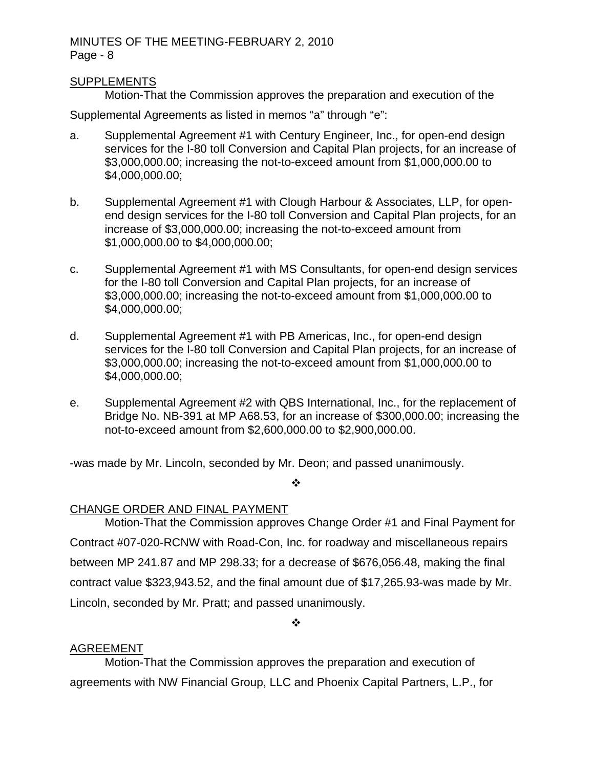## SUPPLEMENTS

Motion-That the Commission approves the preparation and execution of the

Supplemental Agreements as listed in memos "a" through "e":

- a. Supplemental Agreement #1 with Century Engineer, Inc., for open-end design services for the I-80 toll Conversion and Capital Plan projects, for an increase of \$3,000,000.00; increasing the not-to-exceed amount from \$1,000,000.00 to \$4,000,000.00;
- b. Supplemental Agreement #1 with Clough Harbour & Associates, LLP, for openend design services for the I-80 toll Conversion and Capital Plan projects, for an increase of \$3,000,000.00; increasing the not-to-exceed amount from \$1,000,000.00 to \$4,000,000.00;
- c. Supplemental Agreement #1 with MS Consultants, for open-end design services for the I-80 toll Conversion and Capital Plan projects, for an increase of \$3,000,000.00; increasing the not-to-exceed amount from \$1,000,000.00 to \$4,000,000.00;
- d. Supplemental Agreement #1 with PB Americas, Inc., for open-end design services for the I-80 toll Conversion and Capital Plan projects, for an increase of \$3,000,000.00; increasing the not-to-exceed amount from \$1,000,000.00 to \$4,000,000.00:
- e. Supplemental Agreement #2 with QBS International, Inc., for the replacement of Bridge No. NB-391 at MP A68.53, for an increase of \$300,000.00; increasing the not-to-exceed amount from \$2,600,000.00 to \$2,900,000.00.

-was made by Mr. Lincoln, seconded by Mr. Deon; and passed unanimously.

#### $\bullet^{\bullet}_{\bullet} \bullet$

# CHANGE ORDER AND FINAL PAYMENT

Motion-That the Commission approves Change Order #1 and Final Payment for Contract #07-020-RCNW with Road-Con, Inc. for roadway and miscellaneous repairs between MP 241.87 and MP 298.33; for a decrease of \$676,056.48, making the final contract value \$323,943.52, and the final amount due of \$17,265.93-was made by Mr. Lincoln, seconded by Mr. Pratt; and passed unanimously.

 $\cdot$ 

## AGREEMENT

Motion-That the Commission approves the preparation and execution of agreements with NW Financial Group, LLC and Phoenix Capital Partners, L.P., for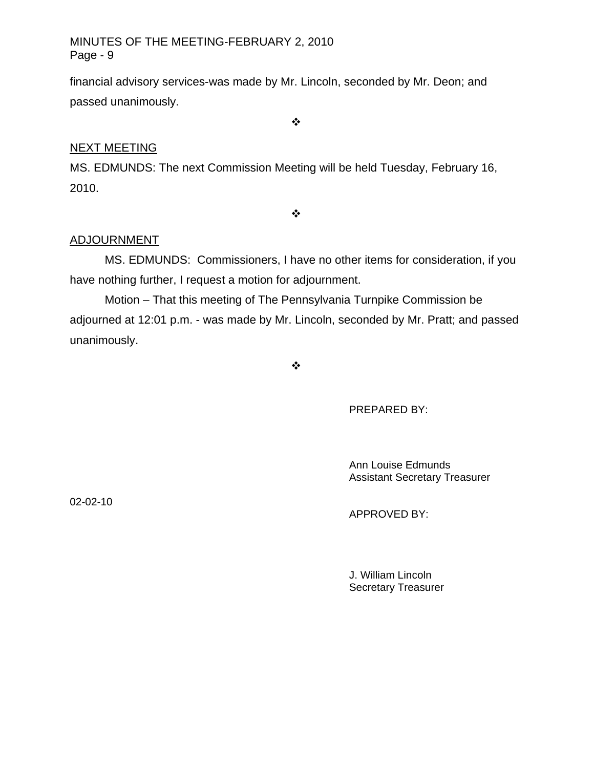financial advisory services-was made by Mr. Lincoln, seconded by Mr. Deon; and passed unanimously.

 $\bullet^{\bullet}_{\bullet} \bullet$ 

# NEXT MEETING

MS. EDMUNDS: The next Commission Meeting will be held Tuesday, February 16, 2010.

 $\bullet \bullet \bullet$ 

# ADJOURNMENT

MS. EDMUNDS: Commissioners, I have no other items for consideration, if you have nothing further, I request a motion for adjournment.

Motion – That this meeting of The Pennsylvania Turnpike Commission be adjourned at 12:01 p.m. - was made by Mr. Lincoln, seconded by Mr. Pratt; and passed unanimously.

 $\frac{1}{2}$ 

PREPARED BY:

 Ann Louise Edmunds Assistant Secretary Treasurer

02-02-10

APPROVED BY:

 J. William Lincoln Secretary Treasurer